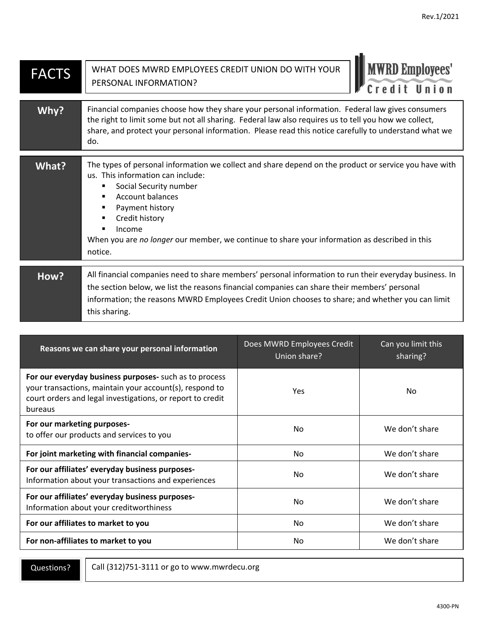| <b>FACTS</b> | <b>MWRD Employees'</b><br>WHAT DOES MWRD EMPLOYEES CREDIT UNION DO WITH YOUR<br>PERSONAL INFORMATION?<br>Credit                                                                                                                                                                                                                                            |
|--------------|------------------------------------------------------------------------------------------------------------------------------------------------------------------------------------------------------------------------------------------------------------------------------------------------------------------------------------------------------------|
| Why?         | Financial companies choose how they share your personal information. Federal law gives consumers<br>the right to limit some but not all sharing. Federal law also requires us to tell you how we collect,<br>share, and protect your personal information. Please read this notice carefully to understand what we<br>do.                                  |
| What?        | The types of personal information we collect and share depend on the product or service you have with<br>us. This information can include:<br>Social Security number<br><b>Account balances</b><br>Payment history<br>Credit history<br>Income<br>When you are no longer our member, we continue to share your information as described in this<br>notice. |
| How?         | All financial companies need to share members' personal information to run their everyday business. In<br>the section below, we list the reasons financial companies can share their members' personal<br>information; the reasons MWRD Employees Credit Union chooses to share; and whether you can limit<br>this sharing.                                |

| Reasons we can share your personal information                                                                                                                                             | Does MWRD Employees Credit<br>Union share? | Can you limit this<br>sharing? |
|--------------------------------------------------------------------------------------------------------------------------------------------------------------------------------------------|--------------------------------------------|--------------------------------|
| For our everyday business purposes- such as to process<br>your transactions, maintain your account(s), respond to<br>court orders and legal investigations, or report to credit<br>bureaus | Yes                                        | No                             |
| For our marketing purposes-<br>to offer our products and services to you                                                                                                                   | No.                                        | We don't share                 |
| For joint marketing with financial companies-                                                                                                                                              | No                                         | We don't share                 |
| For our affiliates' everyday business purposes-<br>Information about your transactions and experiences                                                                                     | No                                         | We don't share                 |
| For our affiliates' everyday business purposes-<br>Information about your creditworthiness                                                                                                 | No                                         | We don't share                 |
| For our affiliates to market to you                                                                                                                                                        | No                                         | We don't share                 |
| For non-affiliates to market to you                                                                                                                                                        | No                                         | We don't share                 |

Questions?

Call (312)751-3111 or go to www.mwrdecu.org